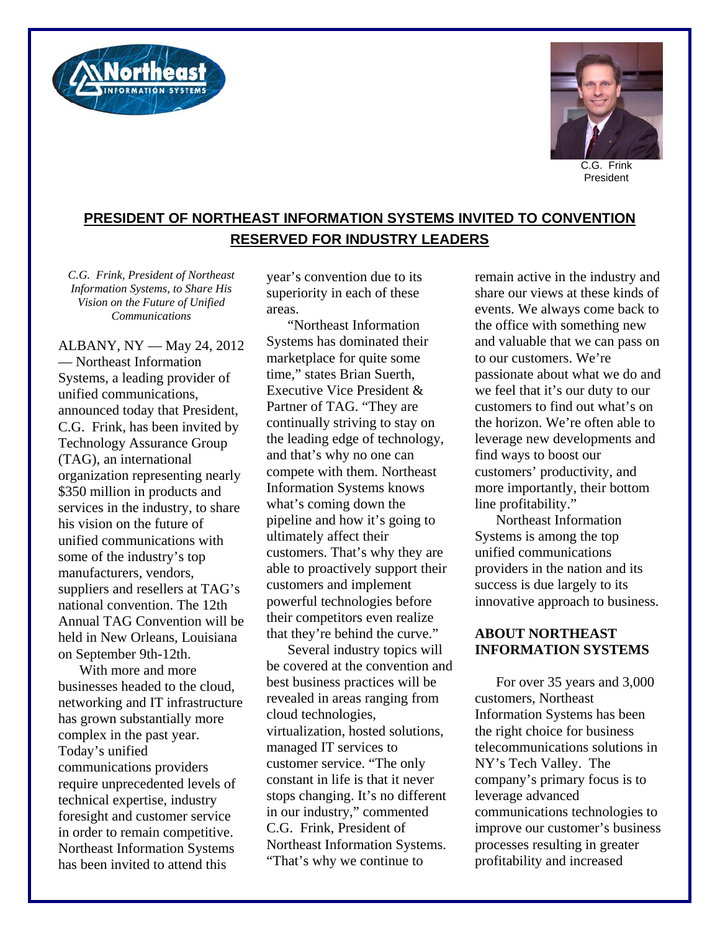



President

## **PRESIDENT OF NORTHEAST INFORMATION SYSTEMS INVITED TO CONVENTION RESERVED FOR INDUSTRY LEADERS**

*C.G. Frink, President of Northeast Information Systems, to Share His Vision on the Future of Unified Communications* 

ALBANY, NY — May 24, 2012 — Northeast Information Systems, a leading provider of unified communications, announced today that President, C.G. Frink, has been invited by Technology Assurance Group (TAG), an international organization representing nearly \$350 million in products and services in the industry, to share his vision on the future of unified communications with some of the industry's top manufacturers, vendors, suppliers and resellers at TAG's national convention. The 12th Annual TAG Convention will be held in New Orleans, Louisiana on September 9th-12th.

With more and more businesses headed to the cloud, networking and IT infrastructure has grown substantially more complex in the past year. Today's unified communications providers require unprecedented levels of technical expertise, industry foresight and customer service in order to remain competitive. Northeast Information Systems has been invited to attend this

year's convention due to its superiority in each of these areas.

"Northeast Information Systems has dominated their marketplace for quite some time," states Brian Suerth, Executive Vice President & Partner of TAG. "They are continually striving to stay on the leading edge of technology, and that's why no one can compete with them. Northeast Information Systems knows what's coming down the pipeline and how it's going to ultimately affect their customers. That's why they are able to proactively support their customers and implement powerful technologies before their competitors even realize that they're behind the curve."

Several industry topics will be covered at the convention and best business practices will be revealed in areas ranging from cloud technologies, virtualization, hosted solutions, managed IT services to customer service. "The only constant in life is that it never stops changing. It's no different in our industry," commented C.G. Frink, President of Northeast Information Systems. "That's why we continue to

remain active in the industry and share our views at these kinds of events. We always come back to the office with something new and valuable that we can pass on to our customers. We're passionate about what we do and we feel that it's our duty to our customers to find out what's on the horizon. We're often able to leverage new developments and find ways to boost our customers' productivity, and more importantly, their bottom line profitability."

Northeast Information Systems is among the top unified communications providers in the nation and its success is due largely to its innovative approach to business.

## **ABOUT NORTHEAST INFORMATION SYSTEMS**

For over 35 years and 3,000 customers, Northeast Information Systems has been the right choice for business telecommunications solutions in NY's Tech Valley. The company's primary focus is to leverage advanced communications technologies to improve our customer's business processes resulting in greater profitability and increased